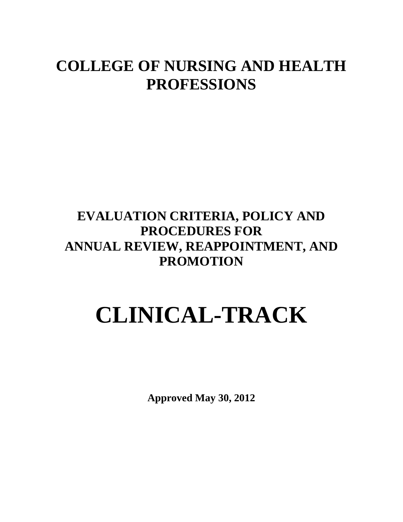# **COLLEGE OF NURSING AND HEALTH PROFESSIONS**

# **EVALUATION CRITERIA, POLICY AND PROCEDURES FOR ANNUAL REVIEW, REAPPOINTMENT, AND PROMOTION**

# **CLINICAL-TRACK**

**Approved May 30, 2012**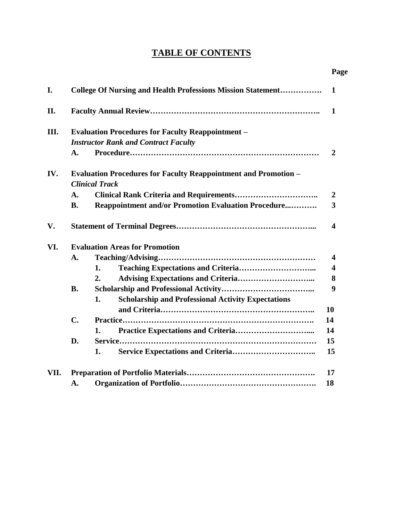# **TABLE OF CONTENTS**

|      |                                                          |                                                                                                 | Page                    |
|------|----------------------------------------------------------|-------------------------------------------------------------------------------------------------|-------------------------|
| I.   |                                                          | <b>College Of Nursing and Health Professions Mission Statement</b>                              | 1                       |
| II.  |                                                          |                                                                                                 | $\mathbf{1}$            |
| III. | <b>Evaluation Procedures for Faculty Reappointment -</b> |                                                                                                 |                         |
|      | <b>Instructor Rank and Contract Faculty</b>              |                                                                                                 |                         |
|      | A.                                                       |                                                                                                 | $\overline{2}$          |
| IV.  |                                                          | <b>Evaluation Procedures for Faculty Reappointment and Promotion -</b><br><b>Clinical Track</b> |                         |
|      | A.                                                       |                                                                                                 | $\overline{2}$          |
|      | <b>B.</b>                                                | <b>Reappointment and/or Promotion Evaluation Procedure</b>                                      | $\overline{\mathbf{3}}$ |
| V.   |                                                          |                                                                                                 | $\overline{\mathbf{4}}$ |
| VI.  | <b>Evaluation Areas for Promotion</b>                    |                                                                                                 |                         |
|      | A.                                                       |                                                                                                 | 4                       |
|      |                                                          | 1.                                                                                              | $\overline{\mathbf{4}}$ |
|      |                                                          | <b>Advising Expectations and Criteria</b><br>2.                                                 | 8                       |
|      | <b>B.</b>                                                |                                                                                                 | 9                       |
|      |                                                          | <b>Scholarship and Professional Activity Expectations</b><br>1.                                 |                         |
|      |                                                          |                                                                                                 | 10                      |
|      | $\mathbf{C}$ .                                           |                                                                                                 | 14                      |
|      |                                                          | 1.                                                                                              | 14                      |
|      | D.                                                       |                                                                                                 | 15                      |
|      |                                                          | <b>Service Expectations and Criteria</b><br>1.                                                  | 15                      |
| VII. |                                                          |                                                                                                 | 17                      |
|      | A.                                                       |                                                                                                 | 18                      |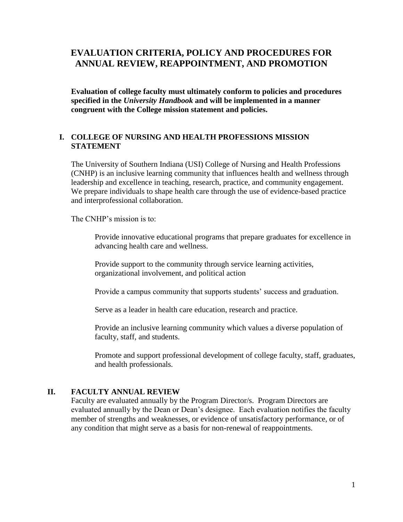# **EVALUATION CRITERIA, POLICY AND PROCEDURES FOR ANNUAL REVIEW, REAPPOINTMENT, AND PROMOTION**

**Evaluation of college faculty must ultimately conform to policies and procedures specified in the** *University Handbook* **and will be implemented in a manner congruent with the College mission statement and policies.**

# **I. COLLEGE OF NURSING AND HEALTH PROFESSIONS MISSION STATEMENT**

The University of Southern Indiana (USI) College of Nursing and Health Professions (CNHP) is an inclusive learning community that influences health and wellness through leadership and excellence in teaching, research, practice, and community engagement. We prepare individuals to shape health care through the use of evidence-based practice and interprofessional collaboration.

The CNHP's mission is to:

Provide innovative educational programs that prepare graduates for excellence in advancing health care and wellness.

Provide support to the community through service learning activities, organizational involvement, and political action

Provide a campus community that supports students' success and graduation.

Serve as a leader in health care education, research and practice.

Provide an inclusive learning community which values a diverse population of faculty, staff, and students.

Promote and support professional development of college faculty, staff, graduates, and health professionals.

# **II. FACULTY ANNUAL REVIEW**

Faculty are evaluated annually by the Program Director/s. Program Directors are evaluated annually by the Dean or Dean's designee. Each evaluation notifies the faculty member of strengths and weaknesses, or evidence of unsatisfactory performance, or of any condition that might serve as a basis for non-renewal of reappointments.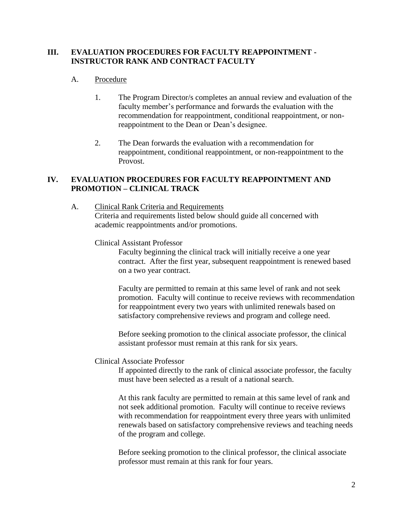# **III. EVALUATION PROCEDURES FOR FACULTY REAPPOINTMENT - INSTRUCTOR RANK AND CONTRACT FACULTY**

# A. Procedure

- 1. The Program Director/s completes an annual review and evaluation of the faculty member's performance and forwards the evaluation with the recommendation for reappointment, conditional reappointment, or nonreappointment to the Dean or Dean's designee.
- 2. The Dean forwards the evaluation with a recommendation for reappointment, conditional reappointment, or non-reappointment to the Provost.

# **IV. EVALUATION PROCEDURES FOR FACULTY REAPPOINTMENT AND PROMOTION – CLINICAL TRACK**

A. Clinical Rank Criteria and Requirements Criteria and requirements listed below should guide all concerned with academic reappointments and/or promotions.

# Clinical Assistant Professor

Faculty beginning the clinical track will initially receive a one year contract. After the first year, subsequent reappointment is renewed based on a two year contract.

Faculty are permitted to remain at this same level of rank and not seek promotion. Faculty will continue to receive reviews with recommendation for reappointment every two years with unlimited renewals based on satisfactory comprehensive reviews and program and college need.

Before seeking promotion to the clinical associate professor, the clinical assistant professor must remain at this rank for six years.

# Clinical Associate Professor

If appointed directly to the rank of clinical associate professor, the faculty must have been selected as a result of a national search.

At this rank faculty are permitted to remain at this same level of rank and not seek additional promotion. Faculty will continue to receive reviews with recommendation for reappointment every three years with unlimited renewals based on satisfactory comprehensive reviews and teaching needs of the program and college.

Before seeking promotion to the clinical professor, the clinical associate professor must remain at this rank for four years.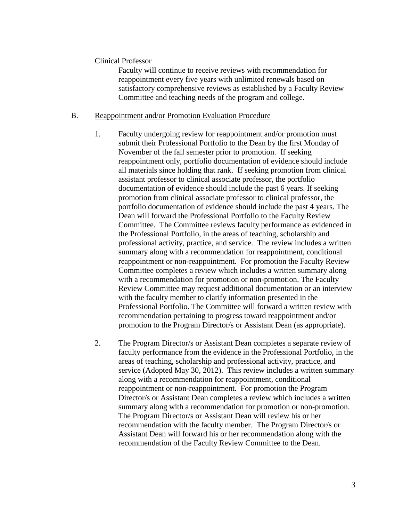#### Clinical Professor

Faculty will continue to receive reviews with recommendation for reappointment every five years with unlimited renewals based on satisfactory comprehensive reviews as established by a Faculty Review Committee and teaching needs of the program and college.

#### B. Reappointment and/or Promotion Evaluation Procedure

- 1. Faculty undergoing review for reappointment and/or promotion must submit their Professional Portfolio to the Dean by the first Monday of November of the fall semester prior to promotion. If seeking reappointment only, portfolio documentation of evidence should include all materials since holding that rank. If seeking promotion from clinical assistant professor to clinical associate professor, the portfolio documentation of evidence should include the past 6 years. If seeking promotion from clinical associate professor to clinical professor, the portfolio documentation of evidence should include the past 4 years. The Dean will forward the Professional Portfolio to the Faculty Review Committee. The Committee reviews faculty performance as evidenced in the Professional Portfolio, in the areas of teaching, scholarship and professional activity, practice, and service. The review includes a written summary along with a recommendation for reappointment, conditional reappointment or non-reappointment. For promotion the Faculty Review Committee completes a review which includes a written summary along with a recommendation for promotion or non-promotion. The Faculty Review Committee may request additional documentation or an interview with the faculty member to clarify information presented in the Professional Portfolio. The Committee will forward a written review with recommendation pertaining to progress toward reappointment and/or promotion to the Program Director/s or Assistant Dean (as appropriate).
- 2. The Program Director/s or Assistant Dean completes a separate review of faculty performance from the evidence in the Professional Portfolio, in the areas of teaching, scholarship and professional activity, practice, and service (Adopted May 30, 2012). This review includes a written summary along with a recommendation for reappointment, conditional reappointment or non-reappointment. For promotion the Program Director/s or Assistant Dean completes a review which includes a written summary along with a recommendation for promotion or non-promotion. The Program Director/s or Assistant Dean will review his or her recommendation with the faculty member. The Program Director/s or Assistant Dean will forward his or her recommendation along with the recommendation of the Faculty Review Committee to the Dean.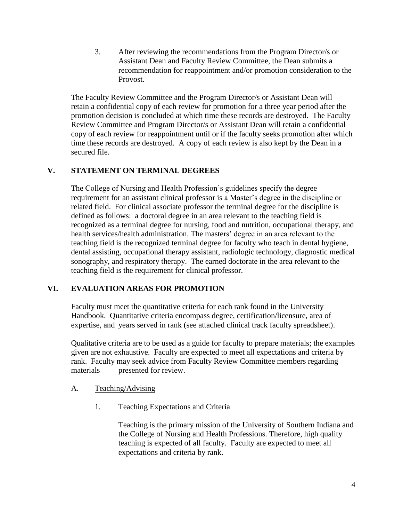3. After reviewing the recommendations from the Program Director/s or Assistant Dean and Faculty Review Committee, the Dean submits a recommendation for reappointment and/or promotion consideration to the Provost.

The Faculty Review Committee and the Program Director/s or Assistant Dean will retain a confidential copy of each review for promotion for a three year period after the promotion decision is concluded at which time these records are destroyed. The Faculty Review Committee and Program Director/s or Assistant Dean will retain a confidential copy of each review for reappointment until or if the faculty seeks promotion after which time these records are destroyed. A copy of each review is also kept by the Dean in a secured file.

# **V. STATEMENT ON TERMINAL DEGREES**

The College of Nursing and Health Profession's guidelines specify the degree requirement for an assistant clinical professor is a Master's degree in the discipline or related field. For clinical associate professor the terminal degree for the discipline is defined as follows: a doctoral degree in an area relevant to the teaching field is recognized as a terminal degree for nursing, food and nutrition, occupational therapy, and health services/health administration. The masters' degree in an area relevant to the teaching field is the recognized terminal degree for faculty who teach in dental hygiene, dental assisting, occupational therapy assistant, radiologic technology, diagnostic medical sonography, and respiratory therapy. The earned doctorate in the area relevant to the teaching field is the requirement for clinical professor.

# **VI. EVALUATION AREAS FOR PROMOTION**

Faculty must meet the quantitative criteria for each rank found in the University Handbook. Quantitative criteria encompass degree, certification/licensure, area of expertise, and years served in rank (see attached clinical track faculty spreadsheet).

Qualitative criteria are to be used as a guide for faculty to prepare materials; the examples given are not exhaustive. Faculty are expected to meet all expectations and criteria by rank. Faculty may seek advice from Faculty Review Committee members regarding materials presented for review.

# A. Teaching/Advising

1. Teaching Expectations and Criteria

Teaching is the primary mission of the University of Southern Indiana and the College of Nursing and Health Professions. Therefore, high quality teaching is expected of all faculty. Faculty are expected to meet all expectations and criteria by rank.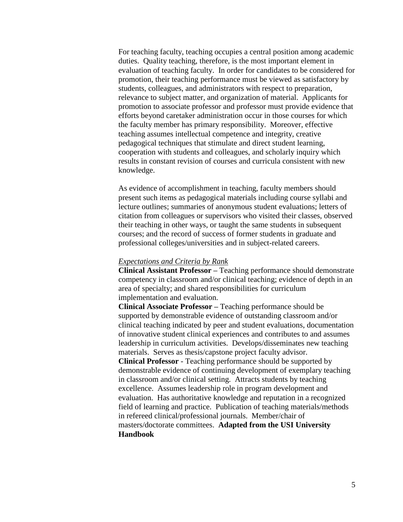For teaching faculty, teaching occupies a central position among academic duties. Quality teaching, therefore, is the most important element in evaluation of teaching faculty. In order for candidates to be considered for promotion, their teaching performance must be viewed as satisfactory by students, colleagues, and administrators with respect to preparation, relevance to subject matter, and organization of material. Applicants for promotion to associate professor and professor must provide evidence that efforts beyond caretaker administration occur in those courses for which the faculty member has primary responsibility. Moreover, effective teaching assumes intellectual competence and integrity, creative pedagogical techniques that stimulate and direct student learning, cooperation with students and colleagues, and scholarly inquiry which results in constant revision of courses and curricula consistent with new knowledge.

As evidence of accomplishment in teaching, faculty members should present such items as pedagogical materials including course syllabi and lecture outlines; summaries of anonymous student evaluations; letters of citation from colleagues or supervisors who visited their classes, observed their teaching in other ways, or taught the same students in subsequent courses; and the record of success of former students in graduate and professional colleges/universities and in subject-related careers.

#### *Expectations and Criteria by Rank*

**Clinical Assistant Professor –** Teaching performance should demonstrate competency in classroom and/or clinical teaching; evidence of depth in an area of specialty; and shared responsibilities for curriculum implementation and evaluation.

**Clinical Associate Professor –** Teaching performance should be supported by demonstrable evidence of outstanding classroom and/or clinical teaching indicated by peer and student evaluations, documentation of innovative student clinical experiences and contributes to and assumes leadership in curriculum activities. Develops/disseminates new teaching materials. Serves as thesis/capstone project faculty advisor.

**Clinical Professor** - Teaching performance should be supported by demonstrable evidence of continuing development of exemplary teaching in classroom and/or clinical setting. Attracts students by teaching excellence. Assumes leadership role in program development and evaluation. Has authoritative knowledge and reputation in a recognized field of learning and practice. Publication of teaching materials/methods in refereed clinical/professional journals. Member/chair of masters/doctorate committees. **Adapted from the USI University Handbook**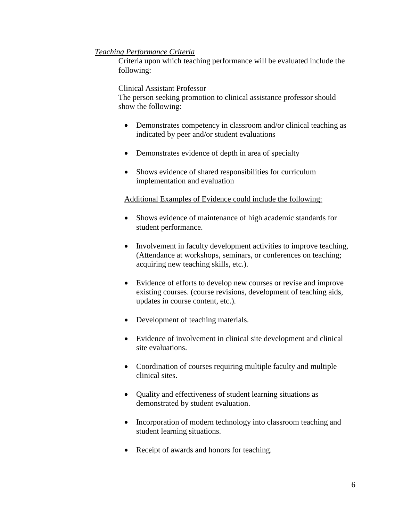# *Teaching Performance Criteria*

Criteria upon which teaching performance will be evaluated include the following:

Clinical Assistant Professor –

The person seeking promotion to clinical assistance professor should show the following:

- Demonstrates competency in classroom and/or clinical teaching as indicated by peer and/or student evaluations
- Demonstrates evidence of depth in area of specialty
- Shows evidence of shared responsibilities for curriculum implementation and evaluation

# Additional Examples of Evidence could include the following:

- Shows evidence of maintenance of high academic standards for student performance.
- Involvement in faculty development activities to improve teaching, (Attendance at workshops, seminars, or conferences on teaching; acquiring new teaching skills, etc.).
- Evidence of efforts to develop new courses or revise and improve existing courses. (course revisions, development of teaching aids, updates in course content, etc.).
- Development of teaching materials.
- Evidence of involvement in clinical site development and clinical site evaluations.
- Coordination of courses requiring multiple faculty and multiple clinical sites.
- Quality and effectiveness of student learning situations as demonstrated by student evaluation.
- Incorporation of modern technology into classroom teaching and student learning situations.
- Receipt of awards and honors for teaching.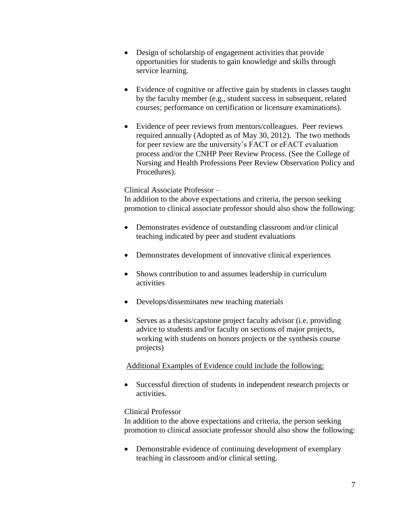- Design of scholarship of engagement activities that provide opportunities for students to gain knowledge and skills through service learning.
- Evidence of cognitive or affective gain by students in classes taught by the faculty member (e.g., student success in subsequent, related courses; performance on certification or licensure examinations).
- Evidence of peer reviews from mentors/colleagues. Peer reviews required annually (Adopted as of May 30, 2012). The two methods for peer review are the university's FACT or eFACT evaluation process and/or the CNHP Peer Review Process. (See the College of Nursing and Health Professions Peer Review Observation Policy and Procedures).

#### Clinical Associate Professor –

In addition to the above expectations and criteria, the person seeking promotion to clinical associate professor should also show the following:

- Demonstrates evidence of outstanding classroom and/or clinical teaching indicated by peer and student evaluations
- Demonstrates development of innovative clinical experiences
- Shows contribution to and assumes leadership in curriculum activities
- Develops/disseminates new teaching materials
- Serves as a thesis/capstone project faculty advisor (i.e. providing advice to students and/or faculty on sections of major projects, working with students on honors projects or the synthesis course projects)

# Additional Examples of Evidence could include the following:

 Successful direction of students in independent research projects or activities.

# Clinical Professor

In addition to the above expectations and criteria, the person seeking promotion to clinical associate professor should also show the following:

• Demonstrable evidence of continuing development of exemplary teaching in classroom and/or clinical setting.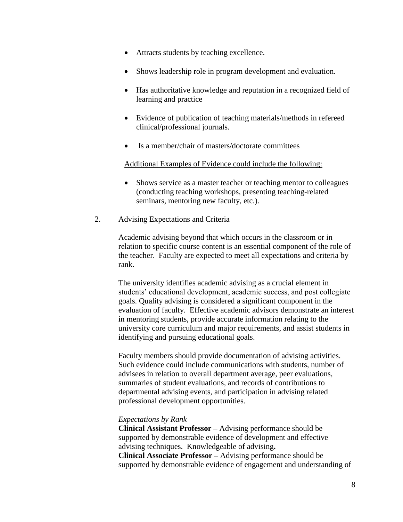- Attracts students by teaching excellence.
- Shows leadership role in program development and evaluation.
- Has authoritative knowledge and reputation in a recognized field of learning and practice
- Evidence of publication of teaching materials/methods in refereed clinical/professional journals.
- Is a member/chair of masters/doctorate committees

Additional Examples of Evidence could include the following:

- Shows service as a master teacher or teaching mentor to colleagues (conducting teaching workshops, presenting teaching-related seminars, mentoring new faculty, etc.).
- 2. Advising Expectations and Criteria

Academic advising beyond that which occurs in the classroom or in relation to specific course content is an essential component of the role of the teacher. Faculty are expected to meet all expectations and criteria by rank.

The university identifies academic advising as a crucial element in students' educational development, academic success, and post collegiate goals. Quality advising is considered a significant component in the evaluation of faculty. Effective academic advisors demonstrate an interest in mentoring students, provide accurate information relating to the university core curriculum and major requirements, and assist students in identifying and pursuing educational goals.

Faculty members should provide documentation of advising activities. Such evidence could include communications with students, number of advisees in relation to overall department average, peer evaluations, summaries of student evaluations, and records of contributions to departmental advising events, and participation in advising related professional development opportunities.

#### *Expectations by Rank*

**Clinical Assistant Professor –** Advising performance should be supported by demonstrable evidence of development and effective advising techniques. Knowledgeable of advising**. Clinical Associate Professor –** Advising performance should be supported by demonstrable evidence of engagement and understanding of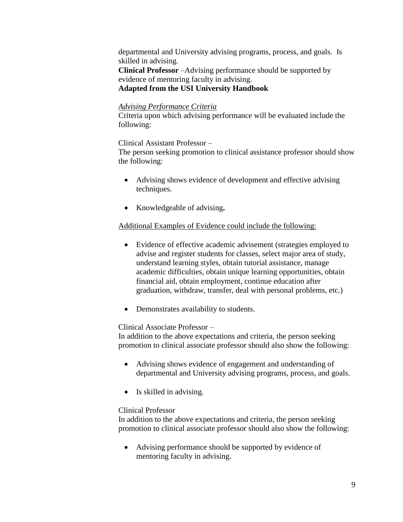departmental and University advising programs, process, and goals.Is skilled in advising.

**Clinical Professor** –Advising performance should be supported by evidence of mentoring faculty in advising. **Adapted from the USI University Handbook**

# *Advising Performance Criteria*

Criteria upon which advising performance will be evaluated include the following:

#### Clinical Assistant Professor –

The person seeking promotion to clinical assistance professor should show the following:

- Advising shows evidence of development and effective advising techniques.
- Knowledgeable of advising**.**

# Additional Examples of Evidence could include the following:

- Evidence of effective academic advisement (strategies employed to advise and register students for classes, select major area of study, understand learning styles, obtain tutorial assistance, manage academic difficulties, obtain unique learning opportunities, obtain financial aid, obtain employment, continue education after graduation, withdraw, transfer, deal with personal problems, etc.)
- Demonstrates availability to students.

# Clinical Associate Professor –

In addition to the above expectations and criteria, the person seeking promotion to clinical associate professor should also show the following:

- Advising shows evidence of engagement and understanding of departmental and University advising programs, process, and goals.
- Is skilled in advising.

# Clinical Professor

In addition to the above expectations and criteria, the person seeking promotion to clinical associate professor should also show the following:

 Advising performance should be supported by evidence of mentoring faculty in advising.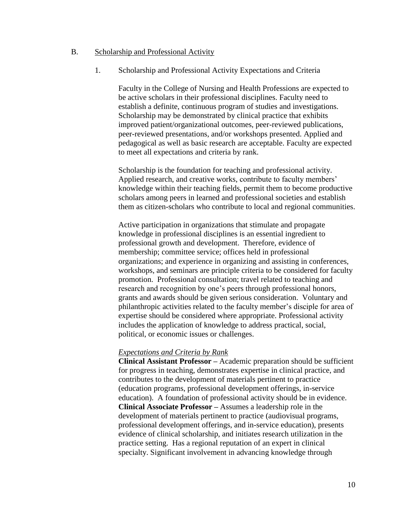#### B. Scholarship and Professional Activity

1. Scholarship and Professional Activity Expectations and Criteria

Faculty in the College of Nursing and Health Professions are expected to be active scholars in their professional disciplines. Faculty need to establish a definite, continuous program of studies and investigations. Scholarship may be demonstrated by clinical practice that exhibits improved patient/organizational outcomes, peer-reviewed publications, peer-reviewed presentations, and/or workshops presented. Applied and pedagogical as well as basic research are acceptable. Faculty are expected to meet all expectations and criteria by rank.

Scholarship is the foundation for teaching and professional activity. Applied research, and creative works, contribute to faculty members' knowledge within their teaching fields, permit them to become productive scholars among peers in learned and professional societies and establish them as citizen-scholars who contribute to local and regional communities.

Active participation in organizations that stimulate and propagate knowledge in professional disciplines is an essential ingredient to professional growth and development. Therefore, evidence of membership; committee service; offices held in professional organizations; and experience in organizing and assisting in conferences, workshops, and seminars are principle criteria to be considered for faculty promotion. Professional consultation; travel related to teaching and research and recognition by one's peers through professional honors, grants and awards should be given serious consideration. Voluntary and philanthropic activities related to the faculty member's disciple for area of expertise should be considered where appropriate. Professional activity includes the application of knowledge to address practical, social, political, or economic issues or challenges.

#### *Expectations and Criteria by Rank*

**Clinical Assistant Professor –** Academic preparation should be sufficient for progress in teaching, demonstrates expertise in clinical practice, and contributes to the development of materials pertinent to practice (education programs, professional development offerings, in-service education). A foundation of professional activity should be in evidence. **Clinical Associate Professor –** Assumes a leadership role in the development of materials pertinent to practice (audiovisual programs, professional development offerings, and in-service education), presents evidence of clinical scholarship, and initiates research utilization in the practice setting. Has a regional reputation of an expert in clinical specialty. Significant involvement in advancing knowledge through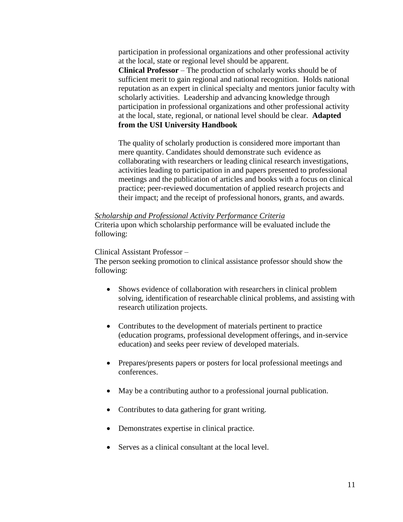participation in professional organizations and other professional activity at the local, state or regional level should be apparent. **Clinical Professor** – The production of scholarly works should be of sufficient merit to gain regional and national recognition. Holds national reputation as an expert in clinical specialty and mentors junior faculty with scholarly activities. Leadership and advancing knowledge through participation in professional organizations and other professional activity at the local, state, regional, or national level should be clear. **Adapted from the USI University Handbook**

The quality of scholarly production is considered more important than mere quantity. Candidates should demonstrate such evidence as collaborating with researchers or leading clinical research investigations, activities leading to participation in and papers presented to professional meetings and the publication of articles and books with a focus on clinical practice; peer-reviewed documentation of applied research projects and their impact; and the receipt of professional honors, grants, and awards.

#### *Scholarship and Professional Activity Performance Criteria*

Criteria upon which scholarship performance will be evaluated include the following:

# Clinical Assistant Professor –

The person seeking promotion to clinical assistance professor should show the following:

- Shows evidence of collaboration with researchers in clinical problem solving, identification of researchable clinical problems, and assisting with research utilization projects.
- Contributes to the development of materials pertinent to practice (education programs, professional development offerings, and in-service education) and seeks peer review of developed materials.
- Prepares/presents papers or posters for local professional meetings and conferences.
- May be a contributing author to a professional journal publication.
- Contributes to data gathering for grant writing.
- Demonstrates expertise in clinical practice.
- Serves as a clinical consultant at the local level.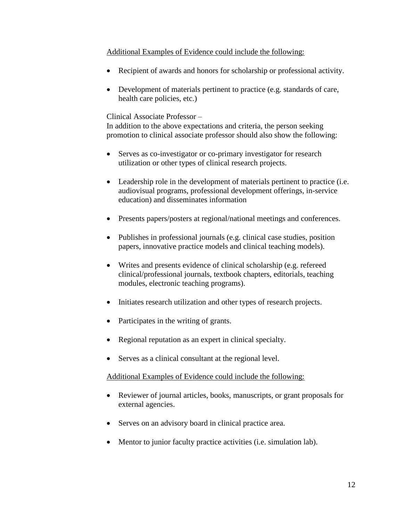# Additional Examples of Evidence could include the following:

- Recipient of awards and honors for scholarship or professional activity.
- Development of materials pertinent to practice (e.g. standards of care, health care policies, etc.)

#### Clinical Associate Professor –

In addition to the above expectations and criteria, the person seeking promotion to clinical associate professor should also show the following:

- Serves as co-investigator or co-primary investigator for research utilization or other types of clinical research projects.
- Leadership role in the development of materials pertinent to practice (i.e. audiovisual programs, professional development offerings, in-service education) and disseminates information
- Presents papers/posters at regional/national meetings and conferences.
- Publishes in professional journals (e.g. clinical case studies, position papers, innovative practice models and clinical teaching models).
- Writes and presents evidence of clinical scholarship (e.g. refereed clinical/professional journals, textbook chapters, editorials, teaching modules, electronic teaching programs).
- Initiates research utilization and other types of research projects.
- Participates in the writing of grants.
- Regional reputation as an expert in clinical specialty.
- Serves as a clinical consultant at the regional level.

#### Additional Examples of Evidence could include the following:

- Reviewer of journal articles, books, manuscripts, or grant proposals for external agencies.
- Serves on an advisory board in clinical practice area.
- Mentor to junior faculty practice activities (i.e. simulation lab).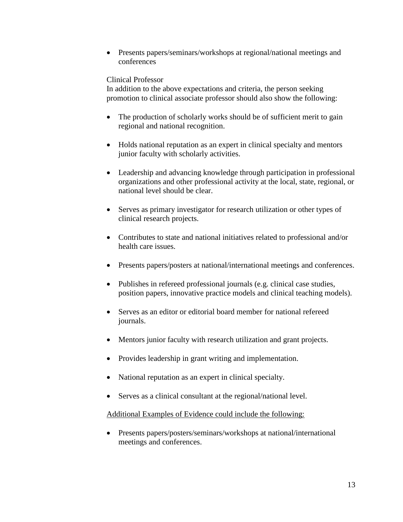• Presents papers/seminars/workshops at regional/national meetings and conferences

# Clinical Professor

In addition to the above expectations and criteria, the person seeking promotion to clinical associate professor should also show the following:

- The production of scholarly works should be of sufficient merit to gain regional and national recognition.
- Holds national reputation as an expert in clinical specialty and mentors junior faculty with scholarly activities.
- Leadership and advancing knowledge through participation in professional organizations and other professional activity at the local, state, regional, or national level should be clear.
- Serves as primary investigator for research utilization or other types of clinical research projects.
- Contributes to state and national initiatives related to professional and/or health care issues.
- Presents papers/posters at national/international meetings and conferences.
- Publishes in refereed professional journals (e.g. clinical case studies, position papers, innovative practice models and clinical teaching models).
- Serves as an editor or editorial board member for national refereed journals.
- Mentors junior faculty with research utilization and grant projects.
- Provides leadership in grant writing and implementation.
- National reputation as an expert in clinical specialty.
- Serves as a clinical consultant at the regional/national level.

# Additional Examples of Evidence could include the following:

 Presents papers/posters/seminars/workshops at national/international meetings and conferences.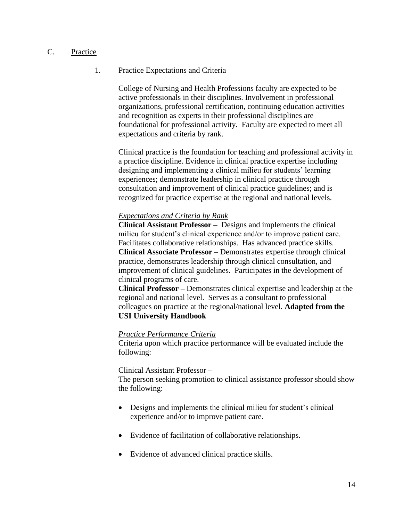# C. Practice

### 1. Practice Expectations and Criteria

College of Nursing and Health Professions faculty are expected to be active professionals in their disciplines. Involvement in professional organizations, professional certification, continuing education activities and recognition as experts in their professional disciplines are foundational for professional activity. Faculty are expected to meet all expectations and criteria by rank.

Clinical practice is the foundation for teaching and professional activity in a practice discipline. Evidence in clinical practice expertise including designing and implementing a clinical milieu for students' learning experiences; demonstrate leadership in clinical practice through consultation and improvement of clinical practice guidelines; and is recognized for practice expertise at the regional and national levels.

#### *Expectations and Criteria by Rank*

**Clinical Assistant Professor –** Designs and implements the clinical milieu for student's clinical experience and/or to improve patient care. Facilitates collaborative relationships. Has advanced practice skills. **Clinical Associate Professor** – Demonstrates expertise through clinical practice, demonstrates leadership through clinical consultation, and improvement of clinical guidelines. Participates in the development of clinical programs of care.

**Clinical Professor –** Demonstrates clinical expertise and leadership at the regional and national level. Serves as a consultant to professional colleagues on practice at the regional/national level. **Adapted from the USI University Handbook**

#### *Practice Performance Criteria*

Criteria upon which practice performance will be evaluated include the following:

#### Clinical Assistant Professor –

The person seeking promotion to clinical assistance professor should show the following:

- Designs and implements the clinical milieu for student's clinical experience and/or to improve patient care.
- Evidence of facilitation of collaborative relationships.
- Evidence of advanced clinical practice skills.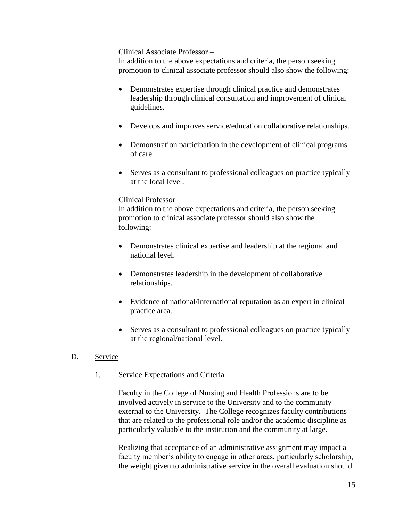### Clinical Associate Professor –

In addition to the above expectations and criteria, the person seeking promotion to clinical associate professor should also show the following:

- Demonstrates expertise through clinical practice and demonstrates leadership through clinical consultation and improvement of clinical guidelines.
- Develops and improves service/education collaborative relationships.
- Demonstration participation in the development of clinical programs of care.
- Serves as a consultant to professional colleagues on practice typically at the local level.

#### Clinical Professor

In addition to the above expectations and criteria, the person seeking promotion to clinical associate professor should also show the following:

- Demonstrates clinical expertise and leadership at the regional and national level.
- Demonstrates leadership in the development of collaborative relationships.
- Evidence of national/international reputation as an expert in clinical practice area.
- Serves as a consultant to professional colleagues on practice typically at the regional/national level.

# D. Service

1. Service Expectations and Criteria

Faculty in the College of Nursing and Health Professions are to be involved actively in service to the University and to the community external to the University. The College recognizes faculty contributions that are related to the professional role and/or the academic discipline as particularly valuable to the institution and the community at large.

Realizing that acceptance of an administrative assignment may impact a faculty member's ability to engage in other areas, particularly scholarship, the weight given to administrative service in the overall evaluation should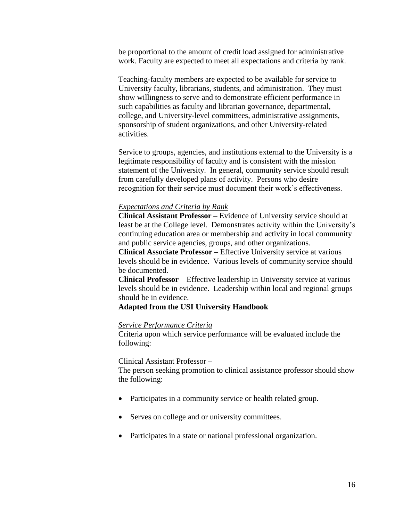be proportional to the amount of credit load assigned for administrative work. Faculty are expected to meet all expectations and criteria by rank.

Teaching-faculty members are expected to be available for service to University faculty, librarians, students, and administration. They must show willingness to serve and to demonstrate efficient performance in such capabilities as faculty and librarian governance, departmental, college, and University-level committees, administrative assignments, sponsorship of student organizations, and other University-related activities.

Service to groups, agencies, and institutions external to the University is a legitimate responsibility of faculty and is consistent with the mission statement of the University. In general, community service should result from carefully developed plans of activity. Persons who desire recognition for their service must document their work's effectiveness.

#### *Expectations and Criteria by Rank*

**Clinical Assistant Professor –** Evidence of University service should at least be at the College level. Demonstrates activity within the University's continuing education area or membership and activity in local community and public service agencies, groups, and other organizations.

**Clinical Associate Professor –** Effective University service at various levels should be in evidence. Various levels of community service should be documented.

**Clinical Professor** – Effective leadership in University service at various levels should be in evidence. Leadership within local and regional groups should be in evidence.

#### **Adapted from the USI University Handbook**

#### *Service Performance Criteria*

Criteria upon which service performance will be evaluated include the following:

#### Clinical Assistant Professor –

The person seeking promotion to clinical assistance professor should show the following:

- Participates in a community service or health related group.
- Serves on college and or university committees.
- Participates in a state or national professional organization.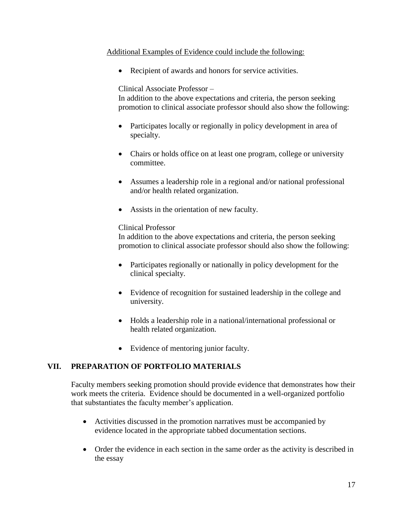# Additional Examples of Evidence could include the following:

Recipient of awards and honors for service activities.

Clinical Associate Professor –

In addition to the above expectations and criteria, the person seeking promotion to clinical associate professor should also show the following:

- Participates locally or regionally in policy development in area of specialty.
- Chairs or holds office on at least one program, college or university committee.
- Assumes a leadership role in a regional and/or national professional and/or health related organization.
- Assists in the orientation of new faculty.

# Clinical Professor

In addition to the above expectations and criteria, the person seeking promotion to clinical associate professor should also show the following:

- Participates regionally or nationally in policy development for the clinical specialty.
- Evidence of recognition for sustained leadership in the college and university.
- Holds a leadership role in a national/international professional or health related organization.
- Evidence of mentoring junior faculty.

# **VII. PREPARATION OF PORTFOLIO MATERIALS**

Faculty members seeking promotion should provide evidence that demonstrates how their work meets the criteria. Evidence should be documented in a well-organized portfolio that substantiates the faculty member's application.

- Activities discussed in the promotion narratives must be accompanied by evidence located in the appropriate tabbed documentation sections.
- Order the evidence in each section in the same order as the activity is described in the essay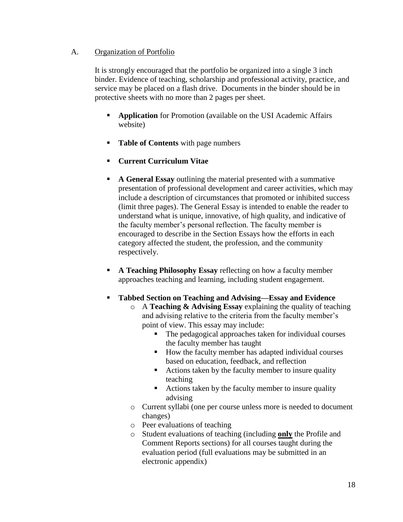# A. Organization of Portfolio

It is strongly encouraged that the portfolio be organized into a single 3 inch binder. Evidence of teaching, scholarship and professional activity, practice, and service may be placed on a flash drive. Documents in the binder should be in protective sheets with no more than 2 pages per sheet.

- **Application** for Promotion (available on the USI Academic Affairs website)
- **Table of Contents** with page numbers
- **Current Curriculum Vitae**
- **A General Essay** outlining the material presented with a summative presentation of professional development and career activities, which may include a description of circumstances that promoted or inhibited success (limit three pages). The General Essay is intended to enable the reader to understand what is unique, innovative, of high quality, and indicative of the faculty member's personal reflection. The faculty member is encouraged to describe in the Section Essays how the efforts in each category affected the student, the profession, and the community respectively.
- **A Teaching Philosophy Essay** reflecting on how a faculty member approaches teaching and learning, including student engagement.
- **Tabbed Section on Teaching and Advising—Essay and Evidence**
	- o A **Teaching & Advising Essay** explaining the quality of teaching and advising relative to the criteria from the faculty member's point of view. This essay may include:
		- The pedagogical approaches taken for individual courses the faculty member has taught
		- How the faculty member has adapted individual courses based on education, feedback, and reflection
		- Actions taken by the faculty member to insure quality teaching
		- Actions taken by the faculty member to insure quality advising
	- o Current syllabi (one per course unless more is needed to document changes)
	- o Peer evaluations of teaching
	- o Student evaluations of teaching (including **only** the Profile and Comment Reports sections) for all courses taught during the evaluation period (full evaluations may be submitted in an electronic appendix)